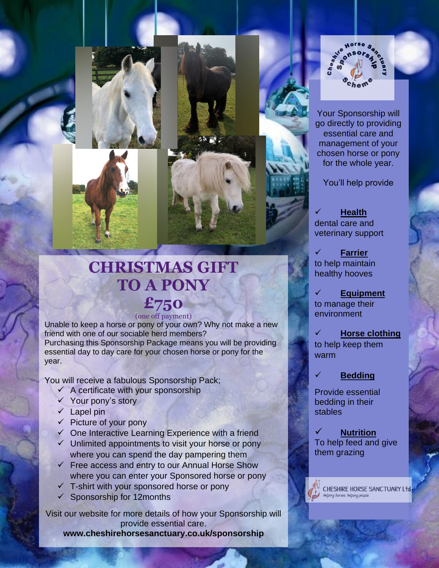

Your Sponsorship will go directly to providing essential care and management of your chosen horse or pony for the whole year.

You'll help provide

✓ **Health** dental care and veterinary support

✓ **Farrier** to help maintain healthy hooves

✓ **Equipment** to manage their environment

✓ **Horse clothing** to help keep them warm

## ✓ **Bedding**

Provide essential bedding in their stables

✓ **Nutrition** To help feed and give them grazing



CHESHIRE HORSE SANCTUARY Ltd lelping horses, helping people.



## **CHRISTMAS GIFT**

## **TO A PONY £750** (one off payment)

Unable to keep a horse or pony of your own? Why not make a new friend with one of our sociable herd members? Purchasing this Sponsorship Package means you will be providing essential day to day care for your chosen horse or pony for the year.

You will receive a fabulous Sponsorship Pack;

- $\checkmark$  A certificate with your sponsorship
- ✓ Your pony's story
- ✓ Lapel pin
- $\checkmark$  Picture of your pony
- ✓ One Interactive Learning Experience with a friend
- $\checkmark$  Unlimited appointments to visit your horse or pony where you can spend the day pampering them
- $\checkmark$  Free access and entry to our Annual Horse Show where you can enter your Sponsored horse or pony
- $\checkmark$  T-shirt with your sponsored horse or pony
- Sponsorship for 12months

Visit our website for more details of how your Sponsorship will provide essential care.

**www.cheshirehorsesanctuary.co.uk/sponsorship**